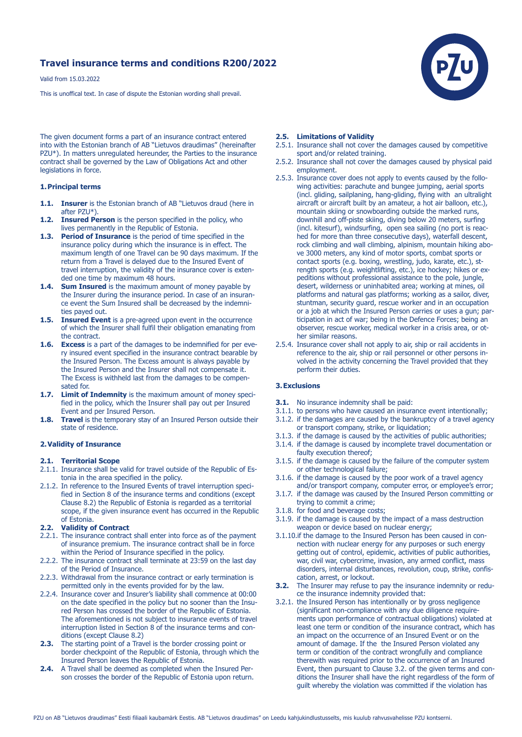# **Travel insurance terms and conditions R200/2022**

Valid from 15.03.2022

This is unoffical text. In case of dispute the Estonian wording shall prevail.



The given document forms a part of an insurance contract entered into with the Estonian branch of AB "Lietuvos draudimas" (hereinafter PZU\*). In matters unregulated hereunder, the Parties to the insurance contract shall be governed by the Law of Obligations Act and other legislations in force.

## **1. Principal terms**

- **1.1. Insurer** is the Estonian branch of AB "Lietuvos draud (here in after PZU\*).
- **1.2. Insured Person** is the person specified in the policy, who lives permanently in the Republic of Estonia.
- **1.3. Period of Insurance** is the period of time specified in the insurance policy during which the insurance is in effect. The maximum length of one Travel can be 90 days maximum. If the return from a Travel is delayed due to the Insured Event of travel interruption, the validity of the insurance cover is exten ded one time by maximum 48 hours.
- **1.4.** Sum Insured is the maximum amount of money payable by the Insurer during the insurance period. In case of an insuran ce event the Sum Insured shall be decreased by the indemni ties payed out.
- **1.5. Insured Event** is a pre-agreed upon event in the occurrence of which the Insurer shall fulfil their obligation emanating from the contract.
- **1.6. Excess** is a part of the damages to be indemnified for per eve ry insured event specified in the insurance contract bearable by the Insured Person. The Excess amount is always payable by the Insured Person and the Insurer shall not compensate it. The Excess is withheld last from the damages to be compen sated for.
- **1.7. Limit of Indemnity** is the maximum amount of money speci fied in the policy, which the Insurer shall pay out per Insured Event and per Insured Person.
- **1.8. Travel** is the temporary stay of an Insured Person outside their state of residence.

#### **2. Validity of Insurance**

#### **2.1. Territorial Scope**

- 2.1.1. Insurance shall be valid for travel outside of the Republic of Estonia in the area specified in the policy.
- 2.1.2. In reference to the Insured Events of travel interruption speci fied in Section 8 of the insurance terms and conditions (except Clause 8.2) the Republic of Estonia is regarded as a territorial scope, if the given insurance event has occurred in the Republic of Estonia.

#### **2.2. Validity of Contract**

- 2.2.1. The insurance contract shall enter into force as of the payment of insurance premium. The insurance contract shall be in force within the Period of Insurance specified in the policy.
- 2.2.2. The insurance contract shall terminate at 23:59 on the last day of the Period of Insurance.
- 2.2.3. Withdrawal from the insurance contract or early termination is permitted only in the events provided for by the law.
- 2.2.4. Insurance cover and Insurer's liability shall commence at 00:00 on the date specified in the policy but no sooner than the Insu red Person has crossed the border of the Republic of Estonia. The aforementioned is not subject to insurance events of travel interruption listed in Section 8 of the insurance terms and con ditions (except Clause 8.2)
- **2.3.** The starting point of a Travel is the border crossing point or border checkpoint of the Republic of Estonia, through which the Insured Person leaves the Republic of Estonia.
- **2.4.** A Travel shall be deemed as completed when the Insured Per son crosses the border of the Republic of Estonia upon return.

## **2.5. Limitations of Validity**

- 2.5.1. Insurance shall not cover the damages caused by competitive sport and/or related training.
- 2.5.2. Insurance shall not cover the damages caused by physical paid employment.
- 2.5.3. Insurance cover does not apply to events caused by the follo wing activities: parachute and bungee jumping, aerial sports (incl. gliding, sailplaning, hang-gliding, flying with an ultralight aircraft or aircraft built by an amateur, a hot air balloon, etc.), mountain skiing or snowboarding outside the marked runs, downhill and off-piste skiing, diving below 20 meters, surfing (incl. kitesurf), windsurfing, open sea sailing (no port is reac hed for more than three consecutive days), waterfall descent, rock climbing and wall climbing, alpinism, mountain hiking abo ve 3000 meters, any kind of motor sports, combat sports or contact sports (e.g. boxing, wrestling, judo, karate, etc.), st rength sports (e.g. weightlifting, etc.), ice hockey; hikes or ex peditions without professional assistance to the pole, jungle, desert, wilderness or uninhabited area; working at mines, oil platforms and natural gas platforms; working as a sailor, diver, stuntman, security guard, rescue worker and in an occupation or a job at which the Insured Person carries or uses a gun; par ticipation in act of war; being in the Defence Forces; being an observer, rescue worker, medical worker in a crisis area, or ot her similar reasons.
- 2.5.4. Insurance cover shall not apply to air, ship or rail accidents in reference to the air, ship or rail personnel or other persons in volved in the activity concerning the Travel provided that they perform their duties.

## **3. Exclusions**

- **3.1.** No insurance indemnity shall be paid:
- 3.1.1. to persons who have caused an insurance event intentionally;
- 3.1.2. if the damages are caused by the bankruptcy of a travel agency or transport company, strike, or liquidation;
- 3.1.3. if the damage is caused by the activities of public authorities;
- 3.1.4. if the damage is caused by incomplete travel documentation or faulty execution thereof;
- 3.1.5. if the damage is caused by the failure of the computer system or other technological failure;
- 3.1.6. if the damage is caused by the poor work of a travel agency and/or transport company, computer error, or employee's error;
- 3.1.7. if the damage was caused by the Insured Person committing or trying to commit a crime;
- 3.1.8. for food and beverage costs;
- 3.1.9. if the damage is caused by the impact of a mass destruction weapon or device based on nuclear energy;
- 3.1.10.if the damage to the Insured Person has been caused in con nection with nuclear energy for any purposes or such energy getting out of control, epidemic, activities of public authorities, war, civil war, cybercrime, invasion, any armed conflict, mass disorders, internal disturbances, revolution, coup, strike, confis cation, arrest, or lockout.
- **3.2.** The Insurer may refuse to pay the insurance indemnity or reduce the insurance indemnity provided that:
- 3.2.1. the Insured Person has intentionally or by gross negligence (significant non-compliance with any due diligence require ments upon performance of contractual obligations) violated at least one term or condition of the insurance contract, which has an impact on the occurrence of an Insured Event or on the amount of damage. If the the Insured Person violated any term or condition of the contract wrongfully and compliance therewith was required prior to the occurrence of an Insured Event, then pursuant to Clause 3.2. of the given terms and con ditions the Insurer shall have the right regardless of the form of guilt whereby the violation was committed if the violation has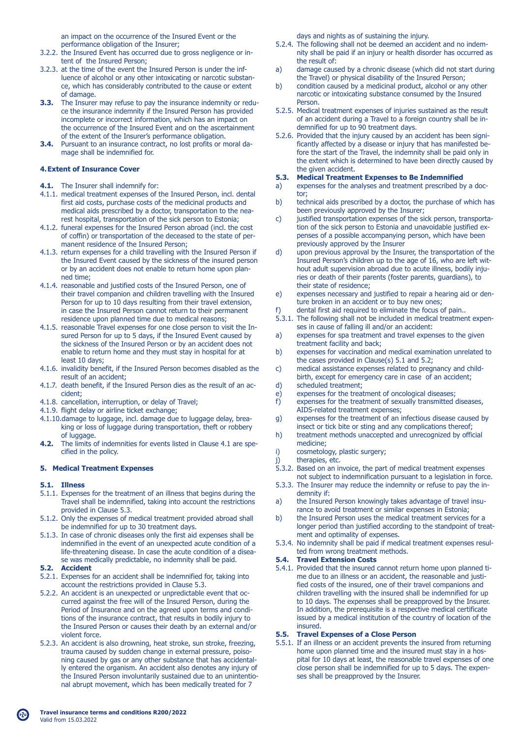an impact on the occurrence of the Insured Event or the performance obligation of the Insurer;

- 3.2.2. the Insured Event has occurred due to gross negligence or in tent of the Insured Person;
- 3.2.3. at the time of the event the Insured Person is under the inf luence of alcohol or any other intoxicating or narcotic substan ce, which has considerably contributed to the cause or extent of damage.
- **3.3.** The Insurer may refuse to pay the insurance indemnity or redu ce the insurance indemnity if the Insured Person has provided incomplete or incorrect information, which has an impact on the occurrence of the Insured Event and on the ascertainment of the extent of the Insurer's performance obligation.
- **3.4.** Pursuant to an insurance contract, no lost profits or moral da mage shall be indemnified for.

## **4. Extent of Insurance Cover**

- **4.1.** The Insurer shall indemnify for:
- 4.1.1. medical treatment expenses of the Insured Person, incl. dental first aid costs, purchase costs of the medicinal products and medical aids prescribed by a doctor, transportation to the nea rest hospital, transportation of the sick person to Estonia;
- 4.1.2. funeral expenses for the Insured Person abroad (incl. the cost of coffin) or transportation of the deceased to the state of per manent residence of the Insured Person;
- 4.1.3. return expenses for a child travelling with the Insured Person if the Insured Event caused by the sickness of the insured person or by an accident does not enable to return home upon plan ned time;
- 4.1.4. reasonable and justified costs of the Insured Person, one of their travel companion and children travelling with the Insured Person for up to 10 days resulting from their travel extension, in case the Insured Person cannot return to their permanent residence upon planned time due to medical reasons;
- 4.1.5. reasonable Travel expenses for one close person to visit the In sured Person for up to 5 days, if the Insured Event caused by the sickness of the Insured Person or by an accident does not enable to return home and they must stay in hospital for at least 10 days;
- 4.1.6. invalidity benefit, if the Insured Person becomes disabled as the result of an accident;
- 4.1.7. death benefit, if the Insured Person dies as the result of an ac cident;
- 4.1.8. cancellation, interruption, or delay of Travel;
- 4.1.9. flight delay or airline ticket exchange;
- 4.1.10.damage to luggage, incl. damage due to luggage delay, brea king or loss of luggage during transportation, theft or robbery of luggage.
- **4.2.** The limits of indemnities for events listed in Clause 4.1 are spe cified in the policy.

## **5. Medical Treatment Expenses**

## **5.1. Illness**

- 5.1.1. Expenses for the treatment of an illness that begins during the Travel shall be indemnified, taking into account the restrictions provided in Clause 5.3.
- 5.1.2. Only the expenses of medical treatment provided abroad shall be indemnified for up to 30 treatment days.
- 5.1.3. In case of chronic diseases only the first aid expenses shall be indemnified in the event of an unexpected acute condition of a life-threatening disease. In case the acute condition of a disea se was medically predictable, no indemnity shall be paid.
- **5.2. Accident**
- 5.2.1. Expenses for an accident shall be indemnified for, taking into account the restrictions provided in Clause 5.3.
- 5.2.2. An accident is an unexpected or unpredictable event that oc curred against the free will of the Insured Person, during the Period of Insurance and on the agreed upon terms and condi tions of the insurance contract, that results in bodily injury to the Insured Person or causes their death by an external and/or violent force.
- 5.2.3. An accident is also drowning, heat stroke, sun stroke, freezing, trauma caused by sudden change in external pressure, poiso ning caused by gas or any other substance that has accidental ly entered the organism. An accident also denotes any injury of the Insured Person involuntarily sustained due to an unintentio nal abrupt movement, which has been medically treated for 7

days and nights as of sustaining the injury.

- 5.2.4. The following shall not be deemed an accident and no indem nity shall be paid if an injury or health disorder has occurred as the result of:
- a) damage caused by a chronic disease (which did not start during
- the Travel) or physical disability of the Insured Person;<br>b) condition caused by a medicinal product, alcohol or an condition caused by a medicinal product, alcohol or any other narcotic or intoxicating substance consumed by the Insured Person.
- 5.2.5. Medical treatment expenses of injuries sustained as the result of an accident during a Travel to a foreign country shall be in demnified for up to 90 treatment days.
- 5.2.6. Provided that the injury caused by an accident has been signi ficantly affected by a disease or injury that has manifested be fore the start of the Travel, the indemnity shall be paid only in the extent which is determined to have been directly caused by the given accident.<br>5.3. Medical Treatmer

## **5.3. Medical Treatment Expenses to Be Indemnified**

- a) expenses for the analyses and treatment prescribed by a doc-
- tor;<br>b) tech technical aids prescribed by a doctor, the purchase of which has been previously approved by the Insurer;
- c) iustified transportation expenses of the sick person, transporta tion of the sick person to Estonia and unavoidable justified ex penses of a possible accompanying person, which have been previously approved by the Insurer<br>d) upon previous approval by the Insu
- upon previous approval by the Insurer, the transportation of the Insured Person's children up to the age of 16, who are left wit hout adult supervision abroad due to acute illness, bodily inju ries or death of their parents (foster parents, guardians), to their state of residence;
- e) expenses necessary and justified to repair a hearing aid or den ture broken in an accident or to buy new ones;
- f) dental first aid required to eliminate the focus of pain..
- 5.3.1. The following shall not be included in medical treatment expen ses in cause of falling ill and/or an accident:
- a) expenses for spa treatment and travel expenses to the given treatment facility and back;<br>b) expenses for vaccination an
- expenses for vaccination and medical examination unrelated to the cases provided in Clause(s) 5.1 and 5.2;<br>c) medical assistance expenses related to pregi
- medical assistance expenses related to pregnancy and childbirth, except for emergency care in case of an accident;<br>d) scheduled treatment;
- scheduled treatment:
- e) expenses for the treatment of oncological diseases;
- f) expenses for the treatment of sexually transmitted diseases, AIDS-related treatment expenses;
- g) expenses for the treatment of an infectious disease caused by insect or tick bite or sting and any complications thereof;<br>h) treatment methods unaccepted and unrecognized by official
- treatment methods unaccepted and unrecognized by official medicine;<br>i) cosmetolo
- cosmetology, plastic surgery;
- j) therapies, etc.
- 5.3.2. Based on an invoice, the part of medical treatment expenses not subject to indemnification pursuant to a legislation in force.
- 5.3.3. The Insurer may reduce the indemnity or refuse to pay the in demnity if:
- a) the Insured Person knowingly takes advantage of travel insurance to avoid treatment or similar expenses in Estonia;
- b) the Insured Person uses the medical treatment services for a longer period than justified according to the standpoint of treat ment and optimality of expenses.
- 5.3.4. No indemnity shall be paid if medical treatment expenses resul ted from wrong treatment methods.

#### **5.4. Travel Extension Costs**

5.4.1. Provided that the insured cannot return home upon planned ti me due to an illness or an accident, the reasonable and justi fied costs of the insured, one of their travel companions and children travelling with the insured shall be indemnified for up to 10 days. The expenses shall be preapproved by the Insurer. In addition, the prerequisite is a respective medical certificate issued by a medical institution of the country of location of the insured.

#### **5.5. Travel Expenses of a Close Person**

5.5.1. If an illness or an accident prevents the insured from returning home upon planned time and the insured must stay in a hos pital for 10 days at least, the reasonable travel expenses of one close person shall be indemnified for up to 5 days. The expen ses shall be preapproved by the Insurer.

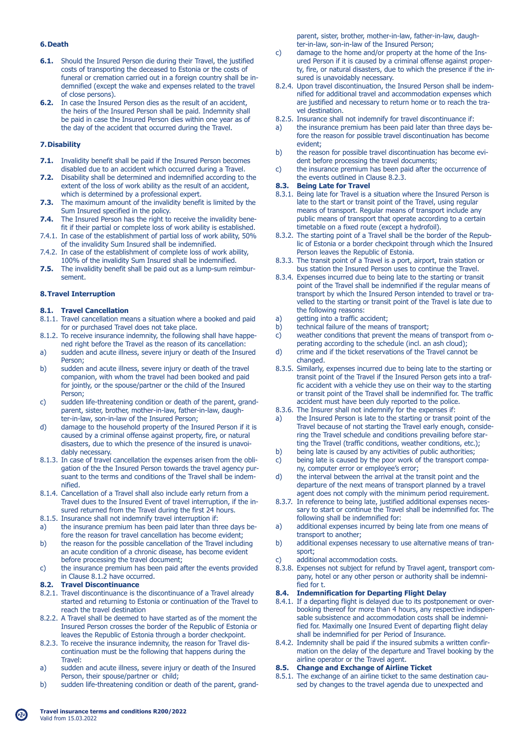## **6. Death**

- **6.1.** Should the Insured Person die during their Travel, the justified costs of transporting the deceased to Estonia or the costs of funeral or cremation carried out in a foreign country shall be in demnified (except the wake and expenses related to the travel of close persons).
- **6.2.** In case the Insured Person dies as the result of an accident, the heirs of the Insured Person shall be paid. Indemnity shall be paid in case the Insured Person dies within one year as of the day of the accident that occurred during the Travel.

## **7. Disability**

- **7.1.** Invalidity benefit shall be paid if the Insured Person becomes disabled due to an accident which occurred during a Travel.
- **7.2.** Disability shall be determined and indemnified according to the extent of the loss of work ability as the result of an accident, which is determined by a professional expert.
- **7.3.** The maximum amount of the invalidity benefit is limited by the Sum Insured specified in the policy.
- **7.4.** The Insured Person has the right to receive the invalidity bene fit if their partial or complete loss of work ability is established.
- 7.4.1. In case of the establishment of partial loss of work ability, 50% of the invalidity Sum Insured shall be indemnified.
- 7.4.2. In case of the establishment of complete loss of work ability, 100% of the invalidity Sum Insured shall be indemnified.
- **7.5.** The invalidity benefit shall be paid out as a lump-sum reimbursement.

#### **8. Travel Interruption**

#### **8.1. Travel Cancellation**

- 8.1.1. Travel cancellation means a situation where a booked and paid for or purchased Travel does not take place.
- 8.1.2. To receive insurance indemnity, the following shall have happe ned right before the Travel as the reason of its cancellation:
- a) sudden and acute illness, severe injury or death of the Insured Person;<br>b) sudden
- sudden and acute illness, severe injury or death of the travel companion, with whom the travel had been booked and paid for jointly, or the spouse/partner or the child of the Insured Person;
- c) sudden life-threatening condition or death of the parent, grand parent, sister, brother, mother-in-law, father-in-law, daugh ter-in-law, son-in-law of the Insured Person;<br>d) damage to the household property of the Ins
- damage to the household property of the Insured Person if it is caused by a criminal offense against property, fire, or natural disasters, due to which the presence of the insured is unavoi dably necessary.
- 8.1.3. In case of travel cancellation the expenses arisen from the obli gation of the the Insured Person towards the travel agency pur suant to the terms and conditions of the Travel shall be indem nified.
- 8.1.4. Cancellation of a Travel shall also include early return from a Travel dues to the Insured Event of travel interruption, if the in sured returned from the Travel during the first 24 hours.
- 8.1.5. Insurance shall not indemnify travel interruption if:
- a) the insurance premium has been paid later than three days be fore the reason for travel cancellation has become evident;<br>b) the reason for the possible cancellation of the Travel includ
- the reason for the possible cancellation of the Travel including an acute condition of a chronic disease, has become evident before processing the travel document;
- c) the insurance premium has been paid after the events provided in Clause 8.1.2 have occurred.<br>**8.2. Travel Discontinuance**

## **8.2. Travel Discontinuance**

- 8.2.1. Travel discontinuance is the discontinuance of a Travel already started and returning to Estonia or continuation of the Travel to reach the travel destination
- 8.2.2. A Travel shall be deemed to have started as of the moment the Insured Person crosses the border of the Republic of Estonia or leaves the Republic of Estonia through a border checkpoint.
- 8.2.3. To receive the insurance indemnity, the reason for Travel dis continuation must be the following that happens during the Travel:<br>a) sudder
- sudden and acute illness, severe injury or death of the Insured
- Person, their spouse/partner or child;<br>b) sudden life-threatening condition or de sudden life-threatening condition or death of the parent, grand-

 parent, sister, brother, mother-in-law, father-in-law, daugh ter-in-law, son-in-law of the Insured Person;

- c) damage to the home and/or property at the home of the Ins ured Person if it is caused by a criminal offense against proper ty, fire, or natural disasters, due to which the presence if the in sured is unavoidably necessary.
- 8.2.4. Upon travel discontinuation, the Insured Person shall be indem nified for additional travel and accommodation expenses which are justified and necessary to return home or to reach the tra vel destination.
- 8.2.5. Insurance shall not indemnify for travel discontinuance if:
- a) the insurance premium has been paid later than three days be fore the reason for possible travel discontinuation has become evident;<br>b) the reas
- the reason for possible travel discontinuation has become evident before processing the travel documents;
- c) the insurance premium has been paid after the occurrence of the events outlined in Clause 8.2.3.<br>**8.3.** Being Late for Travel

## **8.3. Being Late for Travel**

- 8.3.1. Being late for Travel is a situation where the Insured Person is late to the start or transit point of the Travel, using regular means of transport. Regular means of transport include any public means of transport that operate according to a certain timetable on a fixed route (except a hydrofoil).
- 8.3.2. The starting point of a Travel shall be the border of the Repub lic of Estonia or a border checkpoint through which the Insured Person leaves the Republic of Estonia.
- 8.3.3. The transit point of a Travel is a port, airport, train station or bus station the Insured Person uses to continue the Travel.
- 8.3.4. Expenses incurred due to being late to the starting or transit point of the Travel shall be indemnified if the regular means of transport by which the Insured Person intended to travel or tra velled to the starting or transit point of the Travel is late due to the following reasons:
- 
- a) getting into a traffic accident;<br>b) technical failure of the means technical failure of the means of transport;
- c) weather conditions that prevent the means of transport from o perating according to the schedule (incl. an ash cloud);<br>d) crime and if the ticket reservations of the Travel cannot
- crime and if the ticket reservations of the Travel cannot be changed.
- 8.3.5. Similarly, expenses incurred due to being late to the starting or transit point of the Travel if the Insured Person gets into a traf fic accident with a vehicle they use on their way to the starting or transit point of the Travel shall be indemnified for. The traffic accident must have been duly reported to the police.
- 8.3.6. The Insurer shall not indemnify for the expenses if:
- a) the Insured Person is late to the starting or transit point of the Travel because of not starting the Travel early enough, conside ring the Travel schedule and conditions prevailing before star ting the Travel (traffic conditions, weather conditions, etc.);<br>b) being late is caused by any activities of public authorities;
- being late is caused by any activities of public authorities;
- c) being late is caused by the poor work of the transport compa ny, computer error or employee's error;<br>d) the interval between the arrival at the t
- the interval between the arrival at the transit point and the departure of the next means of transport planned by a travel
- agent does not comply with the minimum period requirement.<br>8.3.7. In reference to being late, justified additional expenses neces-In reference to being late, justified additional expenses neces sary to start or continue the Travel shall be indemnified for. The following shall be indemnified for:
- a) additional expenses incurred by being late from one means of transport to another;<br>b) additional expenses r
- additional expenses necessary to use alternative means of transport;<br>c) additi
- additional accommodation costs.
- 8.3.8. Expenses not subject for refund by Travel agent, transport com pany, hotel or any other person or authority shall be indemni fied for t.

## **8.4. Indemnification for Departing Flight Delay**

- 8.4.1. If a departing flight is delayed due to its postponement or over booking thereof for more than 4 hours, any respective indispen sable subsistence and accommodation costs shall be indemni fied for. Maximally one Insured Event of departing flight delay shall be indemnified for per Period of Insurance.
- 8.4.2. Indemnity shall be paid if the insured submits a written confir mation on the delay of the departure and Travel booking by the airline operator or the Travel agent.

#### **8.5. Change and Exchange of Airline Ticket**

8.5.1. The exchange of an airline ticket to the same destination cau sed by changes to the travel agenda due to unexpected and

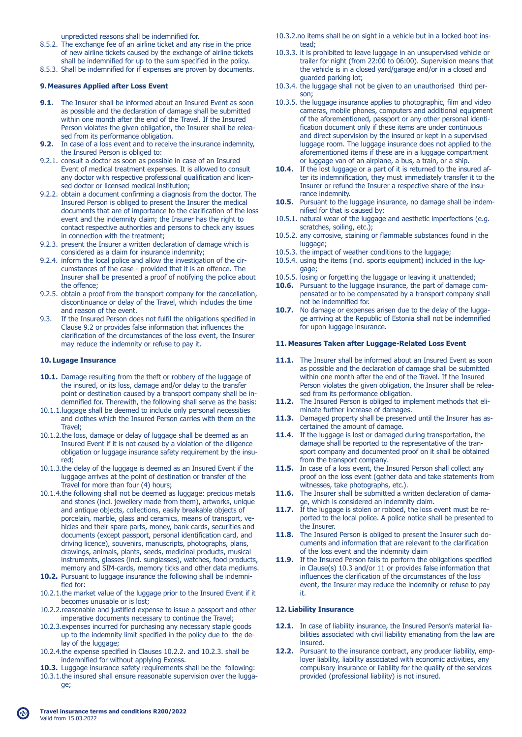unpredicted reasons shall be indemnified for.

- 8.5.2. The exchange fee of an airline ticket and any rise in the price of new airline tickets caused by the exchange of airline tickets shall be indemnified for up to the sum specified in the policy.
- 8.5.3. Shall be indemnified for if expenses are proven by documents.

#### **9. Measures Applied after Loss Event**

- **9.1.** The Insurer shall be informed about an Insured Event as soon as possible and the declaration of damage shall be submitted within one month after the end of the Travel. If the Insured Person violates the given obligation, the Insurer shall be relea sed from its performance obligation.
- **9.2.** In case of a loss event and to receive the insurance indemnity, the Insured Person is obliged to:
- 9.2.1. consult a doctor as soon as possible in case of an Insured Event of medical treatment expenses. It is allowed to consult any doctor with respective professional qualification and licen sed doctor or licensed medical institution;
- 9.2.2. obtain a document confirming a diagnosis from the doctor. The Insured Person is obliged to present the Insurer the medical documents that are of importance to the clarification of the loss event and the indemnity claim; the Insurer has the right to contact respective authorities and persons to check any issues in connection with the treatment;
- 9.2.3. present the Insurer a written declaration of damage which is considered as a claim for insurance indemnity;
- 9.2.4. inform the local police and allow the investigation of the cir cumstances of the case - provided that it is an offence. The Insurer shall be presented a proof of notifying the police about the offence;
- 9.2.5. obtain a proof from the transport company for the cancellation, discontinuance or delay of the Travel, which includes the time and reason of the event.<br>9.3. If the Insured Person do
- If the Insured Person does not fulfil the obligations specified in Clause 9.2 or provides false information that influences the clarification of the circumstances of the loss event, the Insurer may reduce the indemnity or refuse to pay it.

## **10. Lugage Insurance**

- 10.1. Damage resulting from the theft or robbery of the luggage of the insured, or its loss, damage and/or delay to the transfer point or destination caused by a transport company shall be in demnified for. Therewith, the following shall serve as the basis:
- 10.1.1.luggage shall be deemed to include only personal necessities and clothes which the Insured Person carries with them on the Travel;
- 10.1.2.the loss, damage or delay of luggage shall be deemed as an Insured Event if it is not caused by a violation of the diligence obligation or luggage insurance safety requirement by the insu red;
- 10.1.3.the delay of the luggage is deemed as an Insured Event if the luggage arrives at the point of destination or transfer of the Travel for more than four (4) hours;
- 10.1.4.the following shall not be deemed as luggage: precious metals and stones (incl. jewellery made from them), artworks, unique and antique objects, collections, easily breakable objects of porcelain, marble, glass and ceramics, means of transport, ve hicles and their spare parts, money, bank cards, securities and documents (except passport, personal identification card, and driving licence), souvenirs, manuscripts, photographs, plans, drawings, animals, plants, seeds, medicinal products, musical instruments, glasses (incl. sunglasses), watches, food products, memory and SIM-cards, memory ticks and other data mediums.
- 10.2. Pursuant to luggage insurance the following shall be indemnified for:
- 10.2.1.the market value of the luggage prior to the Insured Event if it becomes unusable or is lost;
- 10.2.2.reasonable and justified expense to issue a passport and other imperative documents necessary to continue the Travel;
- 10.2.3.expenses incurred for purchasing any necessary staple goods up to the indemnity limit specified in the policy due to the de lay of the luggage;
- 10.2.4.the expense specified in Clauses 10.2.2. and 10.2.3. shall be indemnified for without applying Excess.
- **10.3.** Luggage insurance safety requirements shall be the following:
- 10.3.1.the insured shall ensure reasonable supervision over the lugga ge;
- 10.3.2.no items shall be on sight in a vehicle but in a locked boot ins tead;
- 10.3.3. it is prohibited to leave luggage in an unsupervised vehicle or trailer for night (from 22:00 to 06:00). Supervision means that the vehicle is in a closed yard/garage and/or in a closed and guarded parking lot;
- 10.3.4. the luggage shall not be given to an unauthorised third per son;
- 10.3.5. the luggage insurance applies to photographic, film and video cameras, mobile phones, computers and additional equipment of the aforementioned, passport or any other personal identi fication document only if these items are under continuous and direct supervision by the insured or kept in a supervised luggage room. The luggage insurance does not applied to the aforementioned items if these are in a luggage compartment or luggage van of an airplane, a bus, a train, or a ship.
- 10.4. If the lost luggage or a part of it is returned to the insured af ter its indemnification, they must immediately transfer it to the Insurer or refund the Insurer a respective share of the insu rance indemnity.
- **10.5.** Pursuant to the luggage insurance, no damage shall be indem nified for that is caused by:
- 10.5.1. natural wear of the luggage and aesthetic imperfections (e.g. scratches, soiling, etc.);
- 10.5.2. any corrosive, staining or flammable substances found in the luggage;
- 10.5.3. the impact of weather conditions to the luggage;
- 10.5.4. using the items (incl. sports equipment) included in the lug gage;
- 10.5.5. losing or forgetting the luggage or leaving it unattended;
- **10.6.** Pursuant to the luggage insurance, the part of damage com pensated or to be compensated by a transport company shall not be indemnified for.
- **10.7.** No damage or expenses arisen due to the delay of the lugga ge arriving at the Republic of Estonia shall not be indemnified for upon luggage insurance.

#### **11. Measures Taken after Luggage-Related Loss Event**

- 11.1. The Insurer shall be informed about an Insured Event as soon as possible and the declaration of damage shall be submitted within one month after the end of the Travel. If the Insured Person violates the given obligation, the Insurer shall be relea sed from its performance obligation.
- 11.2. The Insured Person is obliged to implement methods that eliminate further increase of damages.
- **11.3.** Damaged property shall be preserved until the Insurer has ascertained the amount of damage.
- **11.4.** If the luggage is lost or damaged during transportation, the damage shall be reported to the representative of the tran sport company and documented proof on it shall be obtained from the transport company.
- **11.5.** In case of a loss event, the Insured Person shall collect any proof on the loss event (gather data and take statements from witnesses, take photographs, etc.).
- **11.6.** The Insurer shall be submitted a written declaration of damage, which is considered an indemnity claim.
- 11.7. If the luggage is stolen or robbed, the loss event must be re ported to the local police. A police notice shall be presented to the Insurer.
- 11.8. The Insured Person is obliged to present the Insurer such do cuments and information that are relevant to the clarification of the loss event and the indemnity claim<br>11.9. If the Insured Person fails to perform the
- If the Insured Person fails to perform the obligations specified in Clause(s) 10.3 and/or 11 or provides false information that influences the clarification of the circumstances of the loss event, the Insurer may reduce the indemnity or refuse to pay it.

## **12. Liability Insurance**

- 12.1. In case of liability insurance, the Insured Person's material lia bilities associated with civil liability emanating from the law are insured.
- **12.2.** Pursuant to the insurance contract, any producer liability, emp loyer liability, liability associated with economic activities, any compulsory insurance or liability for the quality of the services provided (professional liability) is not insured.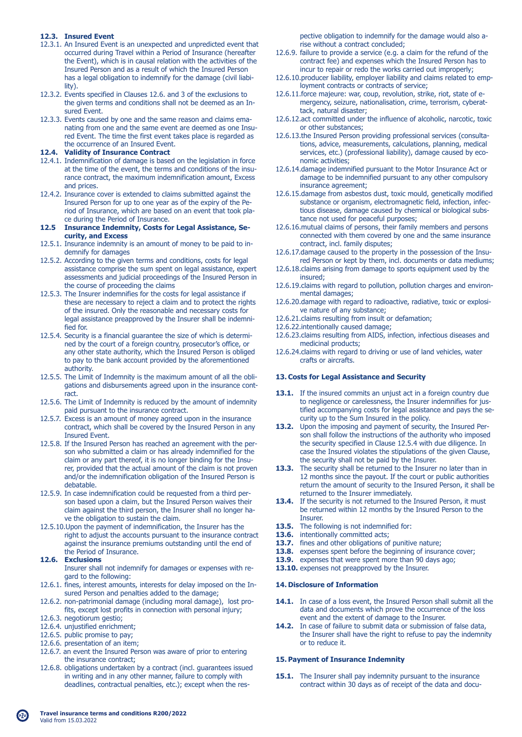## **12.3. Insured Event**

- 12.3.1. An Insured Event is an unexpected and unpredicted event that occurred during Travel within a Period of Insurance (hereafter the Event), which is in causal relation with the activities of the Insured Person and as a result of which the Insured Person has a legal obligation to indemnify for the damage (civil liabi lity).
- 12.3.2. Events specified in Clauses 12.6. and 3 of the exclusions to the given terms and conditions shall not be deemed as an In sured Event.
- 12.3.3. Events caused by one and the same reason and claims ema nating from one and the same event are deemed as one Insu red Event. The time the first event takes place is regarded as the occurrence of an Insured Event.<br>12.4 Validity of Insurance Contract

#### **12.4. Validity of Insurance Contract**

- 12.4.1. Indemnification of damage is based on the legislation in force at the time of the event, the terms and conditions of the insu rance contract, the maximum indemnification amount, Excess and prices.
- 12.4.2. Insurance cover is extended to claims submitted against the Insured Person for up to one year as of the expiry of the Pe riod of Insurance, which are based on an event that took pla ce during the Period of Insurance.
- **12.5 Insurance Indemnity, Costs for Legal Assistance, Se curity, and Excess**
- 12.5.1. Insurance indemnity is an amount of money to be paid to in demnify for damages
- 12.5.2. According to the given terms and conditions, costs for legal assistance comprise the sum spent on legal assistance, expert assessments and judicial proceedings of the Insured Person in the course of proceeding the claims
- 12.5.3. The Insurer indemnifies for the costs for legal assistance if these are necessary to reject a claim and to protect the rights of the insured. Only the reasonable and necessary costs for legal assistance preapproved by the Insurer shall be indemni fied for.
- 12.5.4. Security is a financial guarantee the size of which is determi ned by the court of a foreign country, prosecutor's office, or any other state authority, which the Insured Person is obliged to pay to the bank account provided by the aforementioned authority.
- 12.5.5. The Limit of Indemnity is the maximum amount of all the obli gations and disbursements agreed upon in the insurance cont ract.
- 12.5.6. The Limit of Indemnity is reduced by the amount of indemnity paid pursuant to the insurance contract.
- 12.5.7. Excess is an amount of money agreed upon in the insurance contract, which shall be covered by the Insured Person in any Insured Event.
- 12.5.8. If the Insured Person has reached an agreement with the per son who submitted a claim or has already indemnified for the claim or any part thereof, it is no longer binding for the Insu rer, provided that the actual amount of the claim is not proven and/or the indemnification obligation of the Insured Person is debatable.
- 12.5.9. In case indemnification could be requested from a third per son based upon a claim, but the Insured Person waives their claim against the third person, the Insurer shall no longer ha ve the obligation to sustain the claim.
- 12.5.10.Upon the payment of indemnification, the Insurer has the right to adjust the accounts pursuant to the insurance contract against the insurance premiums outstanding until the end of the Period of Insurance.

## **12.6. Exclusions**

 Insurer shall not indemnify for damages or expenses with re gard to the following:

- 12.6.1. fines, interest amounts, interests for delay imposed on the In sured Person and penalties added to the damage;
- 12.6.2. non-patrimonial damage (including moral damage), lost pro fits, except lost profits in connection with personal injury;
- 12.6.3. negotiorum gestio;
- 12.6.4. unjustified enrichment;
- 12.6.5. public promise to pay;
- 12.6.6. presentation of an item;
- 12.6.7. an event the Insured Person was aware of prior to entering the insurance contract;
- 12.6.8. obligations undertaken by a contract (incl. guarantees issued in writing and in any other manner, failure to comply with deadlines, contractual penalties, etc.); except when the res-

 pective obligation to indemnify for the damage would also a rise without a contract concluded;

- 12.6.9. failure to provide a service (e.g. a claim for the refund of the contract fee) and expenses which the Insured Person has to incur to repair or redo the works carried out improperly;
- 12.6.10.producer liability, employer liability and claims related to emp loyment contracts or contracts of service;
- 12.6.11.force majeure: war, coup, revolution, strike, riot, state of e mergency, seizure, nationalisation, crime, terrorism, cyberat tack, natural disaster;
- 12.6.12.act committed under the influence of alcoholic, narcotic, toxic or other substances;
- 12.6.13.the Insured Person providing professional services (consulta tions, advice, measurements, calculations, planning, medical services, etc.) (professional liability), damage caused by eco nomic activities;
- 12.6.14.damage indemnified pursuant to the Motor Insurance Act or damage to be indemnified pursuant to any other compulsory insurance agreement;
- 12.6.15.damage from asbestos dust, toxic mould, genetically modified substance or organism, electromagnetic field, infection, infec tious disease, damage caused by chemical or biological subs tance not used for peaceful purposes;
- 12.6.16.mutual claims of persons, their family members and persons connected with them covered by one and the same insurance contract, incl. family disputes;
- 12.6.17.damage caused to the property in the possession of the Insu red Person or kept by them, incl. documents or data mediums;
- 12.6.18.claims arising from damage to sports equipment used by the insured;
- 12.6.19.claims with regard to pollution, pollution charges and environ mental damages;
- 12.6.20.damage with regard to radioactive, radiative, toxic or explosi ve nature of any substance;
- 12.6.21.claims resulting from insult or defamation;
- 12.6.22.intentionally caused damage;
- 12.6.23.claims resulting from AIDS, infection, infectious diseases and medicinal products;
- 12.6.24.claims with regard to driving or use of land vehicles, water crafts or aircrafts.

#### **13. Costs for Legal Assistance and Security**

- **13.1.** If the insured commits an uniust act in a foreign country due to negligence or carelessness, the Insurer indemnifies for jus tified accompanying costs for legal assistance and pays the se curity up to the Sum Insured in the policy.
- 13.2. Upon the imposing and payment of security, the Insured Per son shall follow the instructions of the authority who imposed the security specified in Clause 12.5.4 with due diligence. In case the Insured violates the stipulations of the given Clause, the security shall not be paid by the Insurer.
- 13.3. The security shall be returned to the Insurer no later than in 12 months since the payout. If the court or public authorities return the amount of security to the Insured Person, it shall be returned to the Insurer immediately.
- 13.4. If the security is not returned to the Insured Person, it must be returned within 12 months by the Insured Person to the Insurer.
- **13.5.** The following is not indemnified for:<br>**13.6.** intentionally committed acts;
- intentionally committed acts;
- **13.7.** fines and other obligations of punitive nature:
- 13.8. expenses spent before the beginning of insurance cover;
- **13.9.** expenses that were spent more than 90 days ago; 13.10. expenses not preapproved by the Insurer.
- **14. Disclosure of Information**
- 14.1. In case of a loss event, the Insured Person shall submit all the data and documents which prove the occurrence of the loss event and the extent of damage to the Insurer.
- **14.2.** In case of failure to submit data or submission of false data, the Insurer shall have the right to refuse to pay the indemnity or to reduce it.

## **15. Payment of Insurance Indemnity**

**15.1.** The Insurer shall pay indemnity pursuant to the insurance contract within 30 days as of receipt of the data and docu-

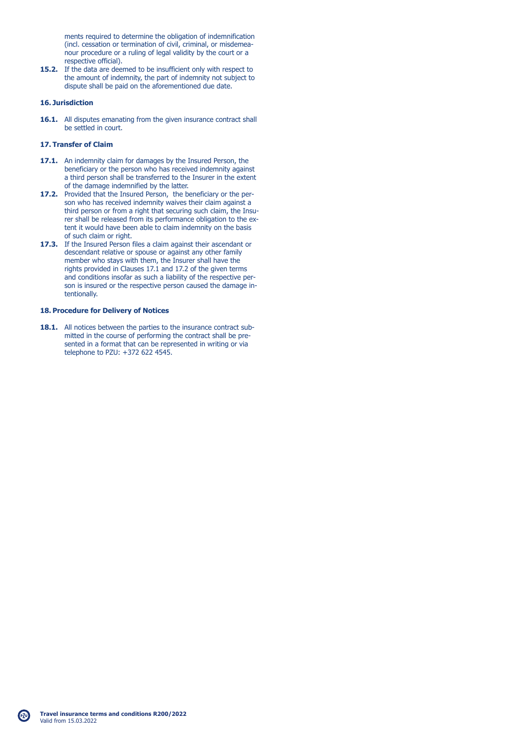ments required to determine the obligation of indemnification (incl. cessation or termination of civil, criminal, or misdemea nour procedure or a ruling of legal validity by the court or a respective official).

**15.2.** If the data are deemed to be insufficient only with respect to the amount of indemnity, the part of indemnity not subject to dispute shall be paid on the aforementioned due date.

## **16. Jurisdiction**

16.1. All disputes emanating from the given insurance contract shall be settled in court.

## **17. Transfer of Claim**

- **17.1.** An indemnity claim for damages by the Insured Person, the beneficiary or the person who has received indemnity against a third person shall be transferred to the Insurer in the extent of the damage indemnified by the latter.
- **17.2.** Provided that the Insured Person, the beneficiary or the per son who has received indemnity waives their claim against a third person or from a right that securing such claim, the Insu rer shall be released from its performance obligation to the ex tent it would have been able to claim indemnity on the basis of such claim or right.
- **17.3.** If the Insured Person files a claim against their ascendant or descendant relative or spouse or against any other family member who stays with them, the Insurer shall have the rights provided in Clauses 17.1 and 17.2 of the given terms and conditions insofar as such a liability of the respective per son is insured or the respective person caused the damage in tentionally.

## **18. Procedure for Delivery of Notices**

18.1. All notices between the parties to the insurance contract sub mitted in the course of performing the contract shall be pre sented in a format that can be represented in writing or via telephone to PZU: +372 622 4545.